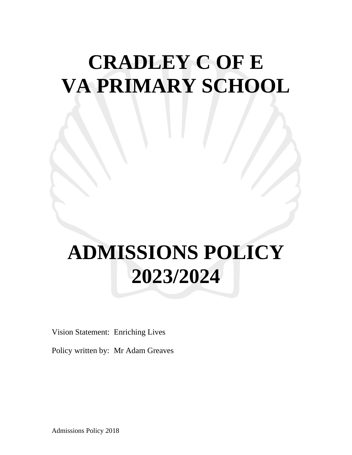## **CRADLEY C OF E VA PRIMARY SCHOOL**

# **ADMISSIONS POLICY 2023/2024**

Vision Statement: Enriching Lives

Policy written by: Mr Adam Greaves

Admissions Policy 2018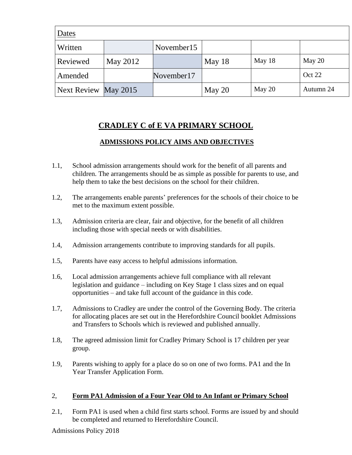| Dates                |          |            |          |          |           |
|----------------------|----------|------------|----------|----------|-----------|
| Written              |          | November15 |          |          |           |
| Reviewed             | May 2012 |            | May $18$ | May 18   | May $20$  |
| Amended              |          | November17 |          |          | Oct 22    |
| Next Review May 2015 |          |            | May $20$ | May $20$ | Autumn 24 |

## **CRADLEY C of E VA PRIMARY SCHOOL**

#### **ADMISSIONS POLICY AIMS AND OBJECTIVES**

- 1.1, School admission arrangements should work for the benefit of all parents and children. The arrangements should be as simple as possible for parents to use, and help them to take the best decisions on the school for their children.
- 1.2, The arrangements enable parents' preferences for the schools of their choice to be met to the maximum extent possible.
- 1.3, Admission criteria are clear, fair and objective, for the benefit of all children including those with special needs or with disabilities.
- 1.4, Admission arrangements contribute to improving standards for all pupils.
- 1.5, Parents have easy access to helpful admissions information.
- 1.6, Local admission arrangements achieve full compliance with all relevant legislation and guidance – including on Key Stage 1 class sizes and on equal opportunities – and take full account of the guidance in this code.
- 1.7, Admissions to Cradley are under the control of the Governing Body. The criteria for allocating places are set out in the Herefordshire Council booklet Admissions and Transfers to Schools which is reviewed and published annually.
- 1.8, The agreed admission limit for Cradley Primary School is 17 children per year group.
- 1.9, Parents wishing to apply for a place do so on one of two forms. PA1 and the In Year Transfer Application Form.

#### 2, **Form PA1 Admission of a Four Year Old to An Infant or Primary School**

2.1, Form PA1 is used when a child first starts school. Forms are issued by and should be completed and returned to Herefordshire Council.

Admissions Policy 2018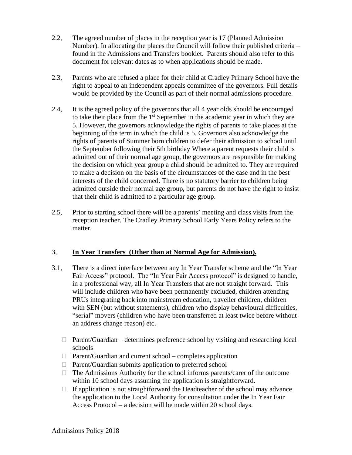- 2.2, The agreed number of places in the reception year is 17 (Planned Admission Number). In allocating the places the Council will follow their published criteria – found in the Admissions and Transfers booklet. Parents should also refer to this document for relevant dates as to when applications should be made.
- 2.3, Parents who are refused a place for their child at Cradley Primary School have the right to appeal to an independent appeals committee of the governors. Full details would be provided by the Council as part of their normal admissions procedure.
- 2.4, It is the agreed policy of the governors that all 4 year olds should be encouraged to take their place from the  $1<sup>st</sup>$  September in the academic year in which they are 5. However, the governors acknowledge the rights of parents to take places at the beginning of the term in which the child is 5. Governors also acknowledge the rights of parents of Summer born children to defer their admission to school until the September following their 5th birthday Where a parent requests their child is admitted out of their normal age group, the governors are responsible for making the decision on which year group a child should be admitted to. They are required to make a decision on the basis of the circumstances of the case and in the best interests of the child concerned. There is no statutory barrier to children being admitted outside their normal age group, but parents do not have the right to insist that their child is admitted to a particular age group.
- 2.5, Prior to starting school there will be a parents' meeting and class visits from the reception teacher. The Cradley Primary School Early Years Policy refers to the matter.

#### 3, **In Year Transfers (Other than at Normal Age for Admission).**

- 3.1, There is a direct interface between any In Year Transfer scheme and the "In Year Fair Access" protocol. The "In Year Fair Access protocol" is designed to handle, in a professional way, all In Year Transfers that are not straight forward. This will include children who have been permanently excluded, children attending PRUs integrating back into mainstream education, traveller children, children with SEN (but without statements), children who display behavioural difficulties, "serial" movers (children who have been transferred at least twice before without an address change reason) etc.
	- $\Box$  Parent/Guardian determines preference school by visiting and researching local schools
	- $\Box$  Parent/Guardian and current school completes application
	- $\Box$  Parent/Guardian submits application to preferred school
	- $\Box$  The Admissions Authority for the school informs parents/carer of the outcome within 10 school days assuming the application is straightforward.
	- $\Box$  If application is not straightforward the Headteacher of the school may advance the application to the Local Authority for consultation under the In Year Fair Access Protocol – a decision will be made within 20 school days.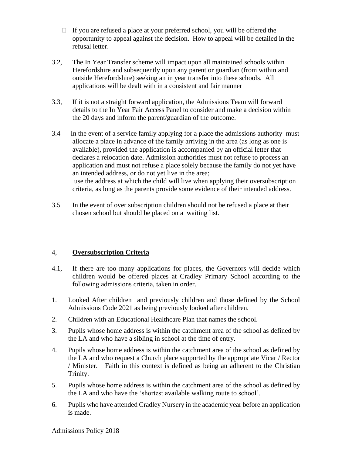- $\Box$  If you are refused a place at your preferred school, you will be offered the opportunity to appeal against the decision. How to appeal will be detailed in the refusal letter.
- 3.2, The In Year Transfer scheme will impact upon all maintained schools within Herefordshire and subsequently upon any parent or guardian (from within and outside Herefordshire) seeking an in year transfer into these schools. All applications will be dealt with in a consistent and fair manner
- 3.3, If it is not a straight forward application, the Admissions Team will forward details to the In Year Fair Access Panel to consider and make a decision within the 20 days and inform the parent/guardian of the outcome.
- 3.4 In the event of a service family applying for a place the admissions authority must allocate a place in advance of the family arriving in the area (as long as one is available), provided the application is accompanied by an official letter that declares a relocation date. Admission authorities must not refuse to process an application and must not refuse a place solely because the family do not yet have an intended address, or do not yet live in the area; use the address at which the child will live when applying their oversubscription criteria, as long as the parents provide some evidence of their intended address.
- 3.5 In the event of over subscription children should not be refused a place at their chosen school but should be placed on a waiting list.

#### 4, **Oversubscription Criteria**

- 4.1, If there are too many applications for places, the Governors will decide which children would be offered places at Cradley Primary School according to the following admissions criteria, taken in order.
- 1. Looked After children and previously children and those defined by the School Admissions Code 2021 as being previously looked after children.
- 2. Children with an Educational Healthcare Plan that names the school.
- 3. Pupils whose home address is within the catchment area of the school as defined by the LA and who have a sibling in school at the time of entry.
- 4. Pupils whose home address is within the catchment area of the school as defined by the LA and who request a Church place supported by the appropriate Vicar / Rector / Minister. Faith in this context is defined as being an adherent to the Christian Trinity.
- 5. Pupils whose home address is within the catchment area of the school as defined by the LA and who have the 'shortest available walking route to school'.
- 6. Pupils who have attended Cradley Nursery in the academic year before an application is made.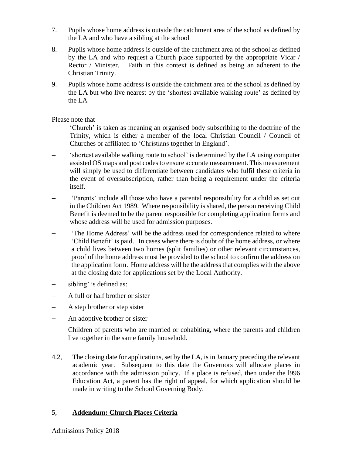- 7. Pupils whose home address is outside the catchment area of the school as defined by the LA and who have a sibling at the school
- 8. Pupils whose home address is outside of the catchment area of the school as defined by the LA and who request a Church place supported by the appropriate Vicar / Rector / Minister. Faith in this context is defined as being an adherent to the Christian Trinity.
- 9. Pupils whose home address is outside the catchment area of the school as defined by the LA but who live nearest by the 'shortest available walking route' as defined by the LA

Please note that

- 'Church' is taken as meaning an organised body subscribing to the doctrine of the Trinity, which is either a member of the local Christian Council / Council of Churches or affiliated to 'Christians together in England'.
- 'shortest available walking route to school' is determined by the LA using computer assisted OS maps and post codes to ensure accurate measurement. This measurement will simply be used to differentiate between candidates who fulfil these criteria in the event of oversubscription, rather than being a requirement under the criteria itself.
- 'Parents' include all those who have a parental responsibility for a child as set out in the Children Act 1989. Where responsibility is shared, the person receiving Child Benefit is deemed to be the parent responsible for completing application forms and whose address will be used for admission purposes.
- 'The Home Address' will be the address used for correspondence related to where 'Child Benefit' is paid. In cases where there is doubt of the home address, or where a child lives between two homes (split families) or other relevant circumstances, proof of the home address must be provided to the school to confirm the address on the application form. Home address will be the addressthat complies with the above at the closing date for applications set by the Local Authority.
- sibling' is defined as:
- A full or half brother or sister
- A step brother or step sister
- An adoptive brother or sister
- Children of parents who are married or cohabiting, where the parents and children live together in the same family household.
- 4.2, The closing date for applications, set by the LA, is in January preceding the relevant academic year. Subsequent to this date the Governors will allocate places in accordance with the admission policy. If a place is refused, then under the l996 Education Act, a parent has the right of appeal, for which application should be made in writing to the School Governing Body.

#### 5, **Addendum: Church Places Criteria**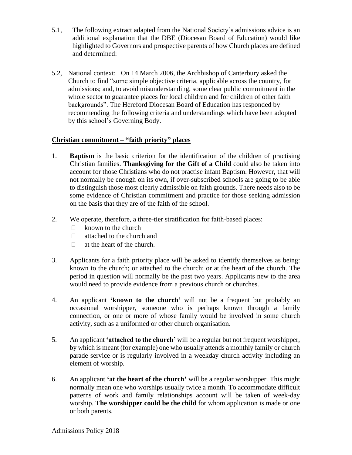- 5.1, The following extract adapted from the National Society's admissions advice is an additional explanation that the DBE (Diocesan Board of Education) would like highlighted to Governors and prospective parents of how Church places are defined and determined:
- 5.2, National context: On 14 March 2006, the Archbishop of Canterbury asked the Church to find "some simple objective criteria, applicable across the country, for admissions; and, to avoid misunderstanding, some clear public commitment in the whole sector to guarantee places for local children and for children of other faith backgrounds". The Hereford Diocesan Board of Education has responded by recommending the following criteria and understandings which have been adopted by this school's Governing Body.

#### **Christian commitment – "faith priority" places**

- 1. **Baptism** is the basic criterion for the identification of the children of practising Christian families. **Thanksgiving for the Gift of a Child** could also be taken into account for those Christians who do not practise infant Baptism. However, that will not normally be enough on its own, if over-subscribed schools are going to be able to distinguish those most clearly admissible on faith grounds. There needs also to be some evidence of Christian commitment and practice for those seeking admission on the basis that they are of the faith of the school.
- 2. We operate, therefore, a three-tier stratification for faith-based places:
	- $\Box$  known to the church
	- $\Box$  attached to the church and
	- $\Box$  at the heart of the church.
- 3. Applicants for a faith priority place will be asked to identify themselves as being: known to the church; or attached to the church; or at the heart of the church. The period in question will normally be the past two years. Applicants new to the area would need to provide evidence from a previous church or churches.
- 4. An applicant **'known to the church'** will not be a frequent but probably an occasional worshipper, someone who is perhaps known through a family connection, or one or more of whose family would be involved in some church activity, such as a uniformed or other church organisation.
- 5. An applicant **'attached to the church'** will be a regular but not frequent worshipper, by which is meant (for example) one who usually attends a monthly family or church parade service or is regularly involved in a weekday church activity including an element of worship.
- 6. An applicant **'at the heart of the church'** will be a regular worshipper. This might normally mean one who worships usually twice a month. To accommodate difficult patterns of work and family relationships account will be taken of week-day worship. **The worshipper could be the child** for whom application is made or one or both parents.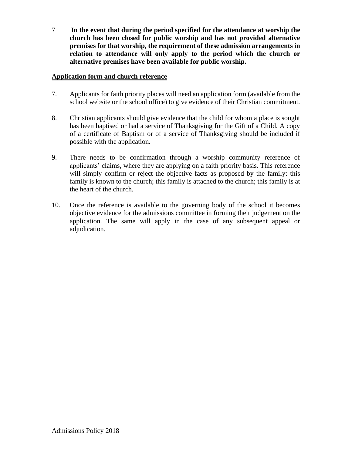7 **In the event that during the period specified for the attendance at worship the church has been closed for public worship and has not provided alternative premises for that worship, the requirement of these admission arrangements in relation to attendance will only apply to the period which the church or alternative premises have been available for public worship.**

#### **Application form and church reference**

- 7. Applicants for faith priority places will need an application form (available from the school website or the school office) to give evidence of their Christian commitment.
- 8. Christian applicants should give evidence that the child for whom a place is sought has been baptised or had a service of Thanksgiving for the Gift of a Child. A copy of a certificate of Baptism or of a service of Thanksgiving should be included if possible with the application.
- 9. There needs to be confirmation through a worship community reference of applicants' claims, where they are applying on a faith priority basis. This reference will simply confirm or reject the objective facts as proposed by the family: this family is known to the church; this family is attached to the church; this family is at the heart of the church.
- 10. Once the reference is available to the governing body of the school it becomes objective evidence for the admissions committee in forming their judgement on the application. The same will apply in the case of any subsequent appeal or adjudication.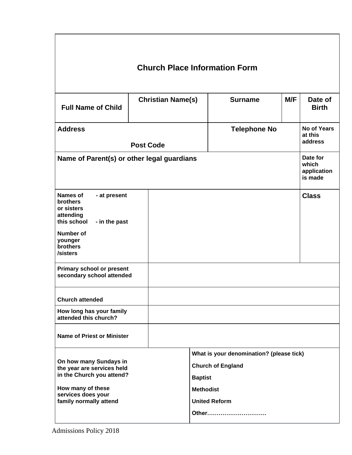| <b>Church Place Information Form</b>                                                                                                                          |  |                          |                                                                                                                                             |                     |     |                                             |  |
|---------------------------------------------------------------------------------------------------------------------------------------------------------------|--|--------------------------|---------------------------------------------------------------------------------------------------------------------------------------------|---------------------|-----|---------------------------------------------|--|
| <b>Full Name of Child</b>                                                                                                                                     |  | <b>Christian Name(s)</b> |                                                                                                                                             | <b>Surname</b>      | M/F | Date of<br><b>Birth</b>                     |  |
| <b>Address</b><br><b>Post Code</b>                                                                                                                            |  |                          |                                                                                                                                             | <b>Telephone No</b> |     | <b>No of Years</b><br>at this<br>address    |  |
| Name of Parent(s) or other legal guardians                                                                                                                    |  |                          |                                                                                                                                             |                     |     | Date for<br>which<br>application<br>is made |  |
| <b>Names of</b><br>- at present<br><b>brothers</b><br>or sisters<br>attending<br>this school<br>- in the past<br>Number of<br>younger<br>brothers<br>/sisters |  |                          |                                                                                                                                             |                     |     | <b>Class</b>                                |  |
| <b>Primary school or present</b><br>secondary school attended                                                                                                 |  |                          |                                                                                                                                             |                     |     |                                             |  |
| <b>Church attended</b>                                                                                                                                        |  |                          |                                                                                                                                             |                     |     |                                             |  |
| How long has your family<br>attended this church?                                                                                                             |  |                          |                                                                                                                                             |                     |     |                                             |  |
| <b>Name of Priest or Minister</b>                                                                                                                             |  |                          |                                                                                                                                             |                     |     |                                             |  |
| On how many Sundays in<br>the year are services held<br>in the Church you attend?<br>How many of these<br>services does your<br>family normally attend        |  |                          | What is your denomination? (please tick)<br><b>Church of England</b><br><b>Baptist</b><br><b>Methodist</b><br><b>United Reform</b><br>Other |                     |     |                                             |  |

 $\mathsf{r}$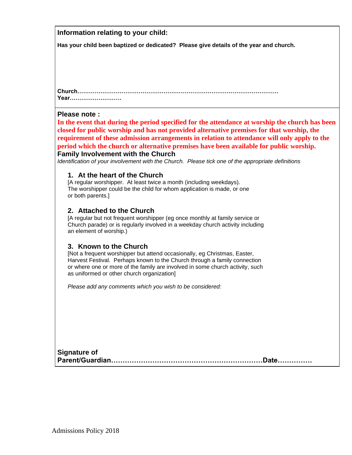#### **Information relating to your child:**

**Has your child been baptized or dedicated? Please give details of the year and church.**

**Church…………………………………………………………………………………………… Year………………………**

#### **Please note :**

**In the event that during the period specified for the attendance at worship the church has been closed for public worship and has not provided alternative premises for that worship, the requirement of these admission arrangements in relation to attendance will only apply to the period which the church or alternative premises have been available for public worship. Family Involvement with the Church**

*Identification of your involvement with the Church. Please tick one of the appropriate definitions*

#### **1. At the heart of the Church**

[A regular worshipper. At least twice a month (including weekdays). The worshipper could be the child for whom application is made, or one or both parents.]

#### **2. Attached to the Church**

[A regular but not frequent worshipper (eg once monthly at family service or Church parade) or is regularly involved in a weekday church activity including an element of worship.)

#### **3. Known to the Church**

[Not a frequent worshipper but attend occasionally, eg Christmas, Easter, Harvest Festival. Perhaps known to the Church through a family connection or where one or more of the family are involved in some church activity, such as uniformed or other church organization]

*Please add any comments which you wish to be considered:*

| <b>Signature of</b> |  |
|---------------------|--|
|                     |  |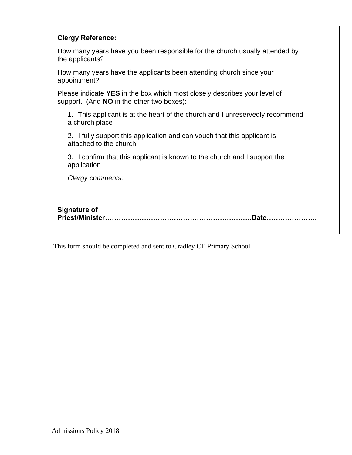|  | <b>Clergy Reference:</b> |
|--|--------------------------|
|--|--------------------------|

How many years have you been responsible for the church usually attended by the applicants?

How many years have the applicants been attending church since your appointment?

Please indicate **YES** in the box which most closely describes your level of support. (And **NO** in the other two boxes):

1. This applicant is at the heart of the church and I unreservedly recommend a church place

2. I fully support this application and can vouch that this applicant is attached to the church

3. I confirm that this applicant is known to the church and I support the application

*Clergy comments:*

### **Signature of Priest/Minister……………………………………………………….Date………………….**

This form should be completed and sent to Cradley CE Primary School